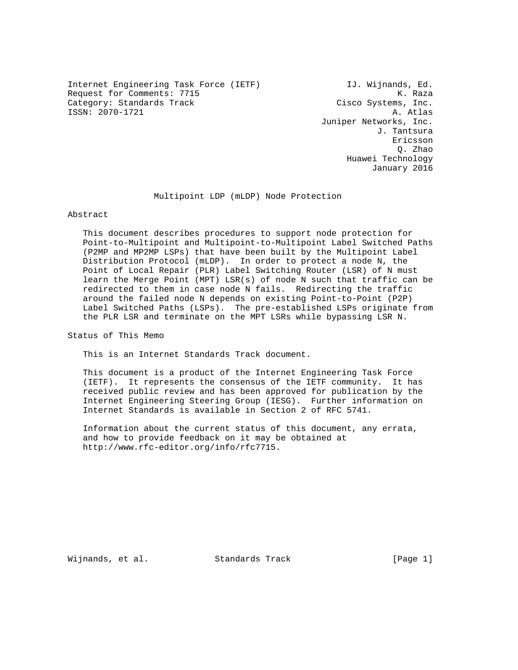Internet Engineering Task Force (IETF) IJ. Wijnands, Ed. Request for Comments: 7715 K. Raza Category: Standards Track Cisco Systems, Inc. ISSN: 2070-1721 A. Atlas

 Juniper Networks, Inc. J. Tantsura eric and the contract of the contract of the contract of the contract of the contract of the contract of the contract of the contract of the contract of the contract of the contract of the contract of the contract of the c Q. Zhao Huawei Technology January 2016

Multipoint LDP (mLDP) Node Protection

### Abstract

 This document describes procedures to support node protection for Point-to-Multipoint and Multipoint-to-Multipoint Label Switched Paths (P2MP and MP2MP LSPs) that have been built by the Multipoint Label Distribution Protocol (mLDP). In order to protect a node N, the Point of Local Repair (PLR) Label Switching Router (LSR) of N must learn the Merge Point (MPT) LSR(s) of node N such that traffic can be redirected to them in case node N fails. Redirecting the traffic around the failed node N depends on existing Point-to-Point (P2P) Label Switched Paths (LSPs). The pre-established LSPs originate from the PLR LSR and terminate on the MPT LSRs while bypassing LSR N.

Status of This Memo

This is an Internet Standards Track document.

 This document is a product of the Internet Engineering Task Force (IETF). It represents the consensus of the IETF community. It has received public review and has been approved for publication by the Internet Engineering Steering Group (IESG). Further information on Internet Standards is available in Section 2 of RFC 5741.

 Information about the current status of this document, any errata, and how to provide feedback on it may be obtained at http://www.rfc-editor.org/info/rfc7715.

Wijnands, et al. Standards Track [Page 1]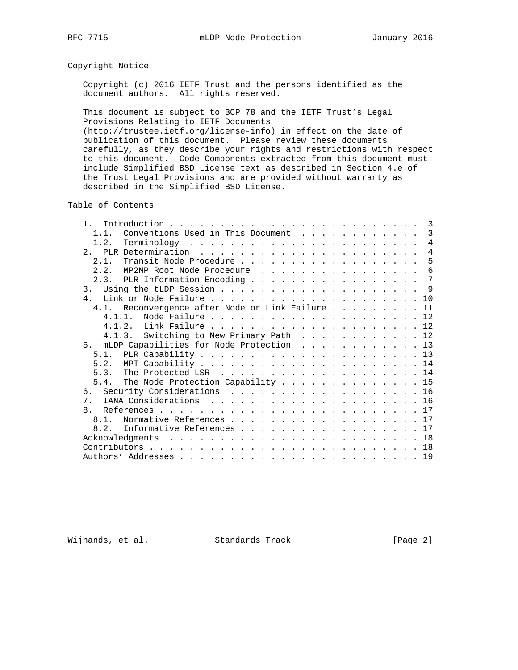# Copyright Notice

 Copyright (c) 2016 IETF Trust and the persons identified as the document authors. All rights reserved.

 This document is subject to BCP 78 and the IETF Trust's Legal Provisions Relating to IETF Documents

 (http://trustee.ietf.org/license-info) in effect on the date of publication of this document. Please review these documents carefully, as they describe your rights and restrictions with respect to this document. Code Components extracted from this document must include Simplified BSD License text as described in Section 4.e of the Trust Legal Provisions and are provided without warranty as described in the Simplified BSD License.

Table of Contents

| 1.1.           | Conventions Used in This Document                |  |  |  |  |  |  | 3              |
|----------------|--------------------------------------------------|--|--|--|--|--|--|----------------|
| 1.2.           |                                                  |  |  |  |  |  |  |                |
|                |                                                  |  |  |  |  |  |  | $\overline{4}$ |
| 2.1.           |                                                  |  |  |  |  |  |  | 5              |
|                | 2.2. MP2MP Root Node Procedure                   |  |  |  |  |  |  | 6              |
|                | 2.3. PLR Information Encoding 7                  |  |  |  |  |  |  |                |
|                |                                                  |  |  |  |  |  |  |                |
| 4 <sub>1</sub> |                                                  |  |  |  |  |  |  |                |
|                | 4.1. Reconvergence after Node or Link Failure 11 |  |  |  |  |  |  |                |
|                |                                                  |  |  |  |  |  |  |                |
|                |                                                  |  |  |  |  |  |  |                |
|                | 4.1.3. Switching to New Primary Path 12          |  |  |  |  |  |  |                |
|                | 5. mLDP Capabilities for Node Protection 13      |  |  |  |  |  |  |                |
|                |                                                  |  |  |  |  |  |  |                |
|                |                                                  |  |  |  |  |  |  |                |
|                | 5.3. The Protected LSR $\ldots$ 14               |  |  |  |  |  |  |                |
|                | 5.4. The Node Protection Capability 15           |  |  |  |  |  |  |                |
|                | 6. Security Considerations 16                    |  |  |  |  |  |  |                |
|                |                                                  |  |  |  |  |  |  |                |
| $\mathsf{R}$   |                                                  |  |  |  |  |  |  |                |
|                |                                                  |  |  |  |  |  |  |                |
|                | 8.1. Normative References 17                     |  |  |  |  |  |  |                |
|                | 8.2. Informative References 17                   |  |  |  |  |  |  |                |
|                |                                                  |  |  |  |  |  |  |                |
|                |                                                  |  |  |  |  |  |  |                |
|                |                                                  |  |  |  |  |  |  |                |

Wijnands, et al. Standards Track [Page 2]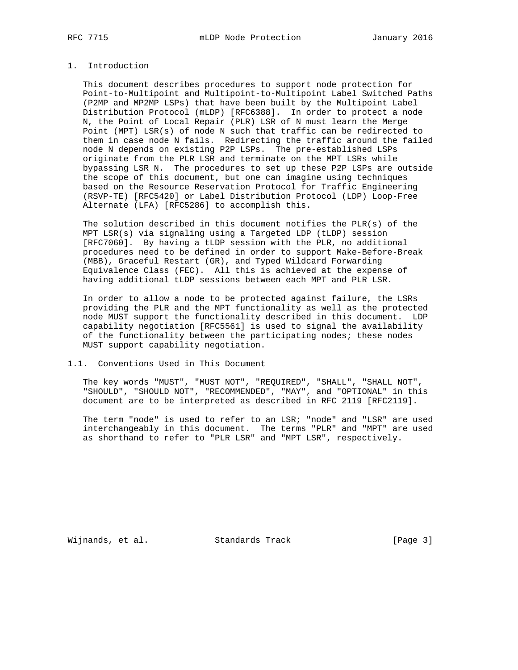# 1. Introduction

 This document describes procedures to support node protection for Point-to-Multipoint and Multipoint-to-Multipoint Label Switched Paths (P2MP and MP2MP LSPs) that have been built by the Multipoint Label Distribution Protocol (mLDP) [RFC6388]. In order to protect a node N, the Point of Local Repair (PLR) LSR of N must learn the Merge Point (MPT) LSR(s) of node N such that traffic can be redirected to them in case node N fails. Redirecting the traffic around the failed node N depends on existing P2P LSPs. The pre-established LSPs originate from the PLR LSR and terminate on the MPT LSRs while bypassing LSR N. The procedures to set up these P2P LSPs are outside the scope of this document, but one can imagine using techniques based on the Resource Reservation Protocol for Traffic Engineering (RSVP-TE) [RFC5420] or Label Distribution Protocol (LDP) Loop-Free Alternate (LFA) [RFC5286] to accomplish this.

 The solution described in this document notifies the PLR(s) of the MPT LSR(s) via signaling using a Targeted LDP (tLDP) session [RFC7060]. By having a tLDP session with the PLR, no additional procedures need to be defined in order to support Make-Before-Break (MBB), Graceful Restart (GR), and Typed Wildcard Forwarding Equivalence Class (FEC). All this is achieved at the expense of having additional tLDP sessions between each MPT and PLR LSR.

 In order to allow a node to be protected against failure, the LSRs providing the PLR and the MPT functionality as well as the protected node MUST support the functionality described in this document. LDP capability negotiation [RFC5561] is used to signal the availability of the functionality between the participating nodes; these nodes MUST support capability negotiation.

1.1. Conventions Used in This Document

 The key words "MUST", "MUST NOT", "REQUIRED", "SHALL", "SHALL NOT", "SHOULD", "SHOULD NOT", "RECOMMENDED", "MAY", and "OPTIONAL" in this document are to be interpreted as described in RFC 2119 [RFC2119].

 The term "node" is used to refer to an LSR; "node" and "LSR" are used interchangeably in this document. The terms "PLR" and "MPT" are used as shorthand to refer to "PLR LSR" and "MPT LSR", respectively.

Wijnands, et al. Standards Track [Page 3]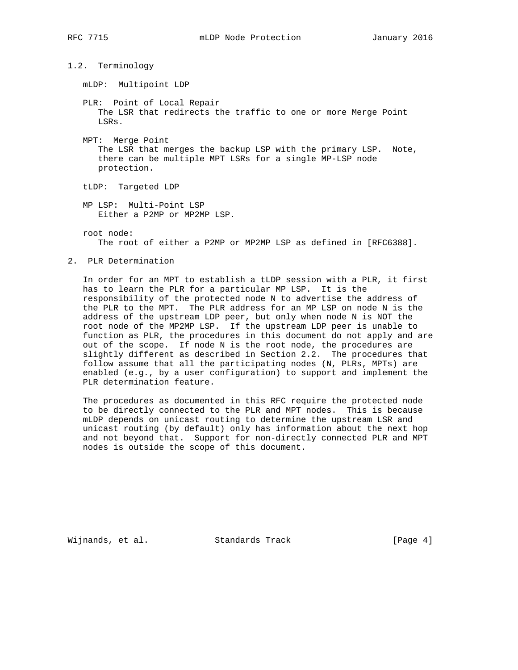1.2. Terminology

mLDP: Multipoint LDP

- PLR: Point of Local Repair The LSR that redirects the traffic to one or more Merge Point LSRs.
- MPT: Merge Point The LSR that merges the backup LSP with the primary LSP. Note, there can be multiple MPT LSRs for a single MP-LSP node protection.

tLDP: Targeted LDP

 MP LSP: Multi-Point LSP Either a P2MP or MP2MP LSP.

root node:

The root of either a P2MP or MP2MP LSP as defined in [RFC6388].

2. PLR Determination

 In order for an MPT to establish a tLDP session with a PLR, it first has to learn the PLR for a particular MP LSP. It is the responsibility of the protected node N to advertise the address of the PLR to the MPT. The PLR address for an MP LSP on node N is the address of the upstream LDP peer, but only when node N is NOT the root node of the MP2MP LSP. If the upstream LDP peer is unable to function as PLR, the procedures in this document do not apply and are out of the scope. If node N is the root node, the procedures are slightly different as described in Section 2.2. The procedures that follow assume that all the participating nodes (N, PLRs, MPTs) are enabled (e.g., by a user configuration) to support and implement the PLR determination feature.

 The procedures as documented in this RFC require the protected node to be directly connected to the PLR and MPT nodes. This is because mLDP depends on unicast routing to determine the upstream LSR and unicast routing (by default) only has information about the next hop and not beyond that. Support for non-directly connected PLR and MPT nodes is outside the scope of this document.

Wijnands, et al. Standards Track [Page 4]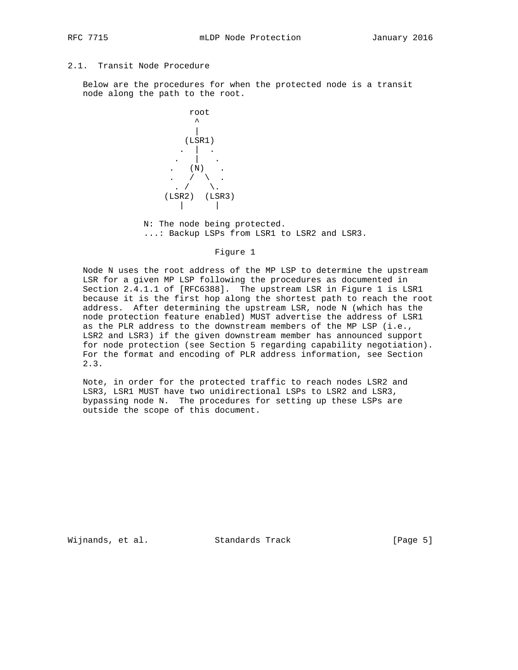# 2.1. Transit Node Procedure

 Below are the procedures for when the protected node is a transit node along the path to the root.



 N: The node being protected. ...: Backup LSPs from LSR1 to LSR2 and LSR3.

# Figure 1

 Node N uses the root address of the MP LSP to determine the upstream LSR for a given MP LSP following the procedures as documented in Section 2.4.1.1 of [RFC6388]. The upstream LSR in Figure 1 is LSR1 because it is the first hop along the shortest path to reach the root address. After determining the upstream LSR, node N (which has the node protection feature enabled) MUST advertise the address of LSR1 as the PLR address to the downstream members of the MP LSP (i.e., LSR2 and LSR3) if the given downstream member has announced support for node protection (see Section 5 regarding capability negotiation). For the format and encoding of PLR address information, see Section 2.3.

 Note, in order for the protected traffic to reach nodes LSR2 and LSR3, LSR1 MUST have two unidirectional LSPs to LSR2 and LSR3, bypassing node N. The procedures for setting up these LSPs are outside the scope of this document.

Wijnands, et al. Standards Track (Page 5)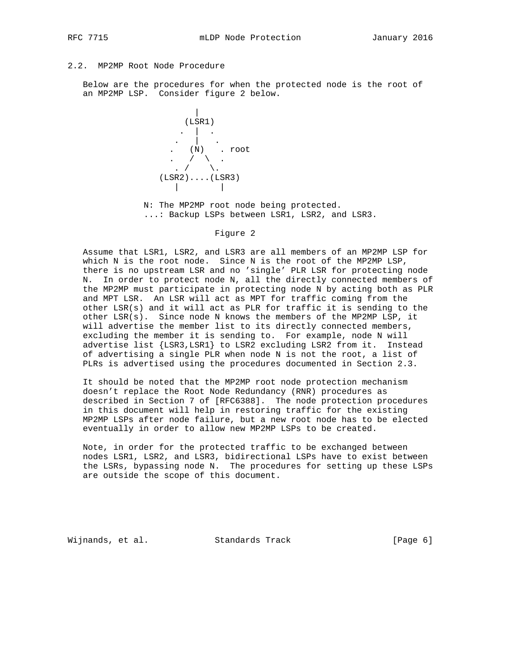# 2.2. MP2MP Root Node Procedure

 Below are the procedures for when the protected node is the root of an MP2MP LSP. Consider figure 2 below.



 N: The MP2MP root node being protected. ...: Backup LSPs between LSR1, LSR2, and LSR3.

#### Figure 2

 Assume that LSR1, LSR2, and LSR3 are all members of an MP2MP LSP for which N is the root node. Since N is the root of the MP2MP LSP, there is no upstream LSR and no 'single' PLR LSR for protecting node N. In order to protect node N, all the directly connected members of the MP2MP must participate in protecting node N by acting both as PLR and MPT LSR. An LSR will act as MPT for traffic coming from the other LSR(s) and it will act as PLR for traffic it is sending to the other LSR(s). Since node N knows the members of the MP2MP LSP, it will advertise the member list to its directly connected members, excluding the member it is sending to. For example, node N will advertise list {LSR3,LSR1} to LSR2 excluding LSR2 from it. Instead of advertising a single PLR when node N is not the root, a list of PLRs is advertised using the procedures documented in Section 2.3.

 It should be noted that the MP2MP root node protection mechanism doesn't replace the Root Node Redundancy (RNR) procedures as described in Section 7 of [RFC6388]. The node protection procedures in this document will help in restoring traffic for the existing MP2MP LSPs after node failure, but a new root node has to be elected eventually in order to allow new MP2MP LSPs to be created.

 Note, in order for the protected traffic to be exchanged between nodes LSR1, LSR2, and LSR3, bidirectional LSPs have to exist between the LSRs, bypassing node N. The procedures for setting up these LSPs are outside the scope of this document.

Wijnands, et al. Standards Track [Page 6]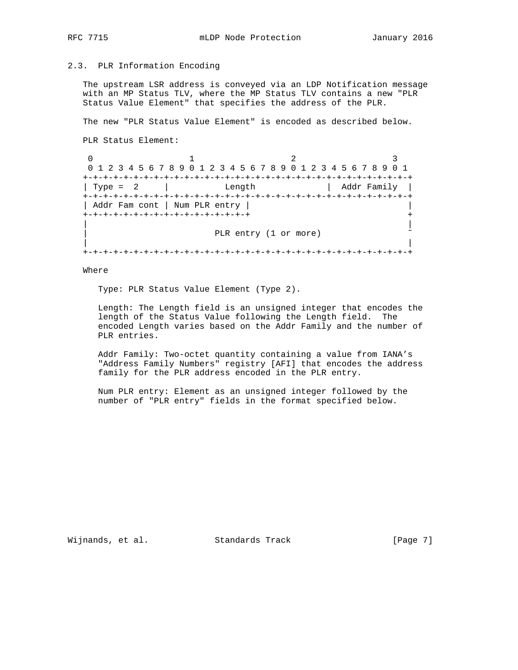# 2.3. PLR Information Encoding

 The upstream LSR address is conveyed via an LDP Notification message with an MP Status TLV, where the MP Status TLV contains a new "PLR Status Value Element" that specifies the address of the PLR.

The new "PLR Status Value Element" is encoded as described below.

PLR Status Element:

0  $1$  2 3 0 1 2 3 4 5 6 7 8 9 0 1 2 3 4 5 6 7 8 9 0 1 2 3 4 5 6 7 8 9 0 1 +-+-+-+-+-+-+-+-+-+-+-+-+-+-+-+-+-+-+-+-+-+-+-+-+-+-+-+-+-+-+-+-+ | Type = 2 | Length | Addr Family | +-+-+-+-+-+-+-+-+-+-+-+-+-+-+-+-+-+-+-+-+-+-+-+-+-+-+-+-+-+-+-+-+ | Addr Fam cont | Num PLR entry | +-+-+-+-+-+-+-+-+-+-+-+-+-+-+-+-+ + | | PLR entry (1 or more) | | +-+-+-+-+-+-+-+-+-+-+-+-+-+-+-+-+-+-+-+-+-+-+-+-+-+-+-+-+-+-+-+-+

Where

Type: PLR Status Value Element (Type 2).

 Length: The Length field is an unsigned integer that encodes the length of the Status Value following the Length field. The encoded Length varies based on the Addr Family and the number of PLR entries.

 Addr Family: Two-octet quantity containing a value from IANA's "Address Family Numbers" registry [AFI] that encodes the address family for the PLR address encoded in the PLR entry.

 Num PLR entry: Element as an unsigned integer followed by the number of "PLR entry" fields in the format specified below.

Wijnands, et al. Standards Track (Page 7)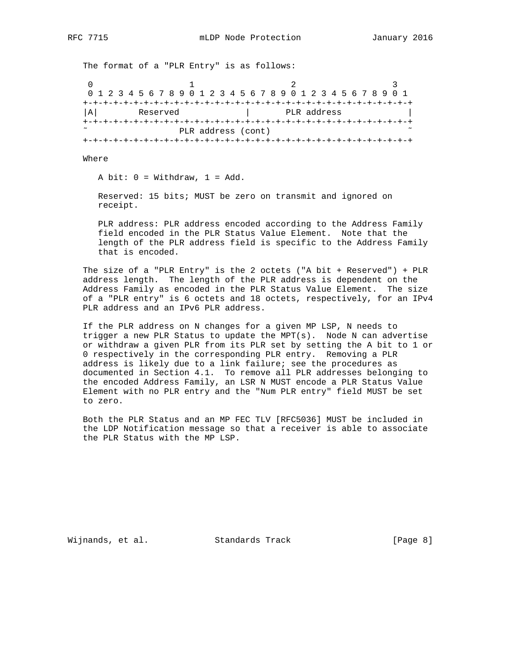The format of a "PLR Entry" is as follows: 0  $1$  2 3 0 1 2 3 4 5 6 7 8 9 0 1 2 3 4 5 6 7 8 9 0 1 2 3 4 5 6 7 8 9 0 1 +-+-+-+-+-+-+-+-+-+-+-+-+-+-+-+-+-+-+-+-+-+-+-+-+-+-+-+-+-+-+-+-+ |A| Reserved | PLR address | +-+-+-+-+-+-+-+-+-+-+-+-+-+-+-+-+-+-+-+-+-+-+-+-+-+-+-+-+-+-+-+-+ PLR address (cont) +-+-+-+-+-+-+-+-+-+-+-+-+-+-+-+-+-+-+-+-+-+-+-+-+-+-+-+-+-+-+-+-+

Where

A bit:  $0 = \text{Without } 1 = \text{Add.}$ 

 Reserved: 15 bits; MUST be zero on transmit and ignored on receipt.

 PLR address: PLR address encoded according to the Address Family field encoded in the PLR Status Value Element. Note that the length of the PLR address field is specific to the Address Family that is encoded.

 The size of a "PLR Entry" is the 2 octets ("A bit + Reserved") + PLR address length. The length of the PLR address is dependent on the Address Family as encoded in the PLR Status Value Element. The size of a "PLR entry" is 6 octets and 18 octets, respectively, for an IPv4 PLR address and an IPv6 PLR address.

 If the PLR address on N changes for a given MP LSP, N needs to trigger a new PLR Status to update the MPT(s). Node N can advertise or withdraw a given PLR from its PLR set by setting the A bit to 1 or 0 respectively in the corresponding PLR entry. Removing a PLR address is likely due to a link failure; see the procedures as documented in Section 4.1. To remove all PLR addresses belonging to the encoded Address Family, an LSR N MUST encode a PLR Status Value Element with no PLR entry and the "Num PLR entry" field MUST be set to zero.

 Both the PLR Status and an MP FEC TLV [RFC5036] MUST be included in the LDP Notification message so that a receiver is able to associate the PLR Status with the MP LSP.

Wijnands, et al. Standards Track (Page 8)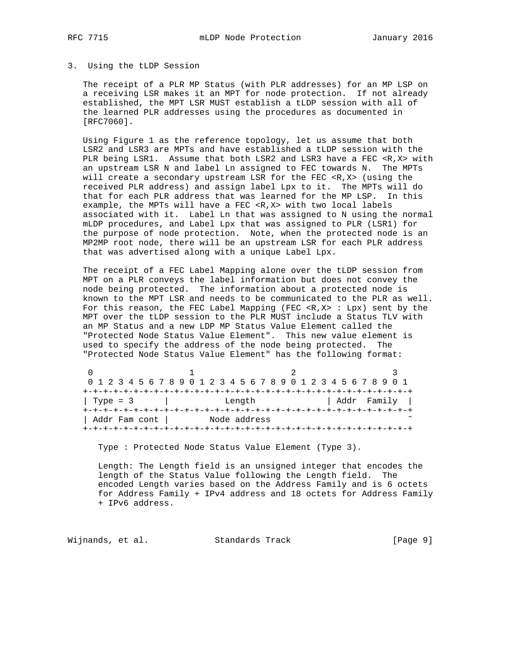#### 3. Using the tLDP Session

 The receipt of a PLR MP Status (with PLR addresses) for an MP LSP on a receiving LSR makes it an MPT for node protection. If not already established, the MPT LSR MUST establish a tLDP session with all of the learned PLR addresses using the procedures as documented in [RFC7060].

 Using Figure 1 as the reference topology, let us assume that both LSR2 and LSR3 are MPTs and have established a tLDP session with the PLR being LSR1. Assume that both LSR2 and LSR3 have a FEC <R, X> with an upstream LSR N and label Ln assigned to FEC towards N. The MPTs will create a secondary upstream LSR for the FEC <R,X> (using the received PLR address) and assign label Lpx to it. The MPTs will do that for each PLR address that was learned for the MP LSP. In this example, the MPTs will have a FEC <R,X> with two local labels associated with it. Label Ln that was assigned to N using the normal mLDP procedures, and Label Lpx that was assigned to PLR (LSR1) for the purpose of node protection. Note, when the protected node is an MP2MP root node, there will be an upstream LSR for each PLR address that was advertised along with a unique Label Lpx.

 The receipt of a FEC Label Mapping alone over the tLDP session from MPT on a PLR conveys the label information but does not convey the node being protected. The information about a protected node is known to the MPT LSR and needs to be communicated to the PLR as well. For this reason, the FEC Label Mapping (FEC <R, X> : Lpx) sent by the MPT over the tLDP session to the PLR MUST include a Status TLV with an MP Status and a new LDP MP Status Value Element called the "Protected Node Status Value Element". This new value element is used to specify the address of the node being protected. The "Protected Node Status Value Element" has the following format:

|                |                  | 0 1 2 3 4 5 6 7 8 9 0 1 2 3 4 5 6 7 8 9 0 1 2 3 4 5 6 7 8 9 0 1 |             |
|----------------|------------------|-----------------------------------------------------------------|-------------|
|                | -+-+-+-+-+-+-+-+ |                                                                 |             |
| Type = $3$     |                  | Length                                                          | Addr Family |
| +-+-+-+-+-+-+- |                  |                                                                 |             |
| Addr Fam cont  | Node address     |                                                                 |             |
|                |                  |                                                                 |             |

Type : Protected Node Status Value Element (Type 3).

 Length: The Length field is an unsigned integer that encodes the length of the Status Value following the Length field. The encoded Length varies based on the Address Family and is 6 octets for Address Family + IPv4 address and 18 octets for Address Family + IPv6 address.

Wijnands, et al. Standards Track [Page 9]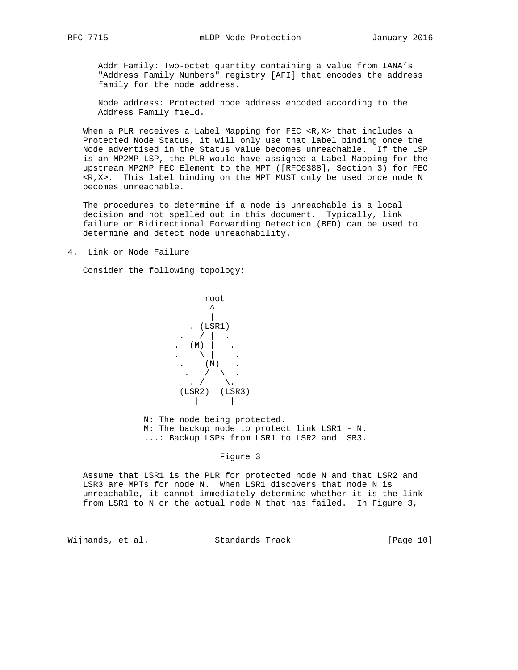Addr Family: Two-octet quantity containing a value from IANA's "Address Family Numbers" registry [AFI] that encodes the address family for the node address.

 Node address: Protected node address encoded according to the Address Family field.

 When a PLR receives a Label Mapping for FEC <R,X> that includes a Protected Node Status, it will only use that label binding once the Node advertised in the Status value becomes unreachable. If the LSP is an MP2MP LSP, the PLR would have assigned a Label Mapping for the upstream MP2MP FEC Element to the MPT ([RFC6388], Section 3) for FEC <R,X>. This label binding on the MPT MUST only be used once node N becomes unreachable.

 The procedures to determine if a node is unreachable is a local decision and not spelled out in this document. Typically, link failure or Bidirectional Forwarding Detection (BFD) can be used to determine and detect node unreachability.

4. Link or Node Failure

Consider the following topology:



 N: The node being protected. M: The backup node to protect link LSR1 - N. ...: Backup LSPs from LSR1 to LSR2 and LSR3.

#### Figure 3

 Assume that LSR1 is the PLR for protected node N and that LSR2 and LSR3 are MPTs for node N. When LSR1 discovers that node N is unreachable, it cannot immediately determine whether it is the link from LSR1 to N or the actual node N that has failed. In Figure 3,

Wijnands, et al. Standards Track [Page 10]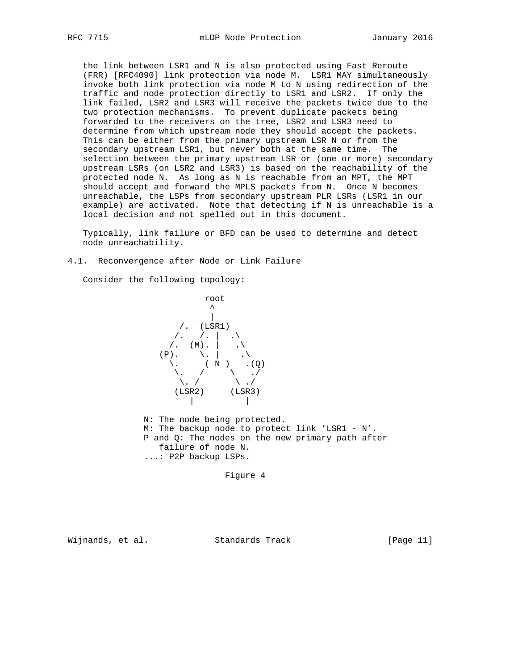the link between LSR1 and N is also protected using Fast Reroute (FRR) [RFC4090] link protection via node M. LSR1 MAY simultaneously invoke both link protection via node M to N using redirection of the traffic and node protection directly to LSR1 and LSR2. If only the link failed, LSR2 and LSR3 will receive the packets twice due to the two protection mechanisms. To prevent duplicate packets being forwarded to the receivers on the tree, LSR2 and LSR3 need to determine from which upstream node they should accept the packets. This can be either from the primary upstream LSR N or from the secondary upstream LSR1, but never both at the same time. The selection between the primary upstream LSR or (one or more) secondary upstream LSRs (on LSR2 and LSR3) is based on the reachability of the protected node N. As long as N is reachable from an MPT, the MPT should accept and forward the MPLS packets from N. Once N becomes unreachable, the LSPs from secondary upstream PLR LSRs (LSR1 in our example) are activated. Note that detecting if N is unreachable is a local decision and not spelled out in this document.

 Typically, link failure or BFD can be used to determine and detect node unreachability.

4.1. Reconvergence after Node or Link Failure

Consider the following topology:

 root ^ \_ | /. (LSR1)  $/$ .  $/$ .  $|$  .  $/$ .  $(M)$ .  $\vert$  .  $\setminus$  $(P)$ . \. | .\  $\setminus$ .  $(N)$  .(Q)  $\lambda$ . /  $\lambda$  ./  $\lambda$ . /  $\lambda$ ./  $(LSR2)$   $(LSR3)$ | |

> N: The node being protected. M: The backup node to protect link 'LSR1 - N'. P and Q: The nodes on the new primary path after failure of node N. ...: P2P backup LSPs.

> > Figure 4

Wijnands, et al. Standards Track [Page 11]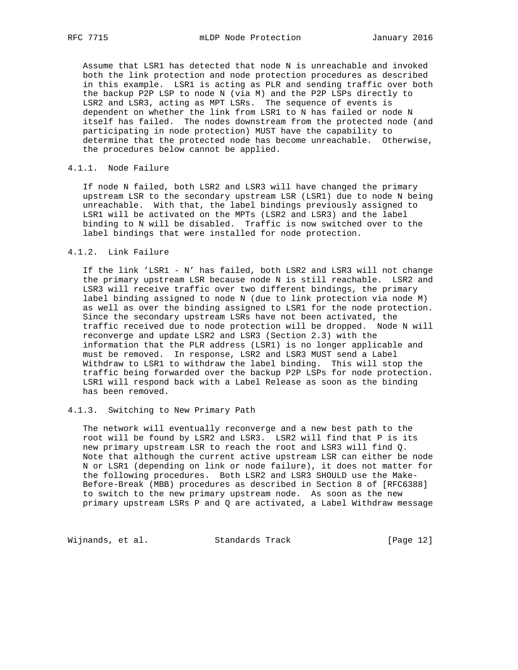Assume that LSR1 has detected that node N is unreachable and invoked both the link protection and node protection procedures as described in this example. LSR1 is acting as PLR and sending traffic over both the backup P2P LSP to node N (via M) and the P2P LSPs directly to LSR2 and LSR3, acting as MPT LSRs. The sequence of events is dependent on whether the link from LSR1 to N has failed or node N itself has failed. The nodes downstream from the protected node (and participating in node protection) MUST have the capability to determine that the protected node has become unreachable. Otherwise, the procedures below cannot be applied.

# 4.1.1. Node Failure

 If node N failed, both LSR2 and LSR3 will have changed the primary upstream LSR to the secondary upstream LSR (LSR1) due to node N being unreachable. With that, the label bindings previously assigned to LSR1 will be activated on the MPTs (LSR2 and LSR3) and the label binding to N will be disabled. Traffic is now switched over to the label bindings that were installed for node protection.

# 4.1.2. Link Failure

 If the link 'LSR1 - N' has failed, both LSR2 and LSR3 will not change the primary upstream LSR because node N is still reachable. LSR2 and LSR3 will receive traffic over two different bindings, the primary label binding assigned to node N (due to link protection via node M) as well as over the binding assigned to LSR1 for the node protection. Since the secondary upstream LSRs have not been activated, the traffic received due to node protection will be dropped. Node N will reconverge and update LSR2 and LSR3 (Section 2.3) with the information that the PLR address (LSR1) is no longer applicable and must be removed. In response, LSR2 and LSR3 MUST send a Label Withdraw to LSR1 to withdraw the label binding. This will stop the traffic being forwarded over the backup P2P LSPs for node protection. LSR1 will respond back with a Label Release as soon as the binding has been removed.

#### 4.1.3. Switching to New Primary Path

 The network will eventually reconverge and a new best path to the root will be found by LSR2 and LSR3. LSR2 will find that P is its new primary upstream LSR to reach the root and LSR3 will find Q. Note that although the current active upstream LSR can either be node N or LSR1 (depending on link or node failure), it does not matter for the following procedures. Both LSR2 and LSR3 SHOULD use the Make- Before-Break (MBB) procedures as described in Section 8 of [RFC6388] to switch to the new primary upstream node. As soon as the new primary upstream LSRs P and Q are activated, a Label Withdraw message

Wijnands, et al. Standards Track [Page 12]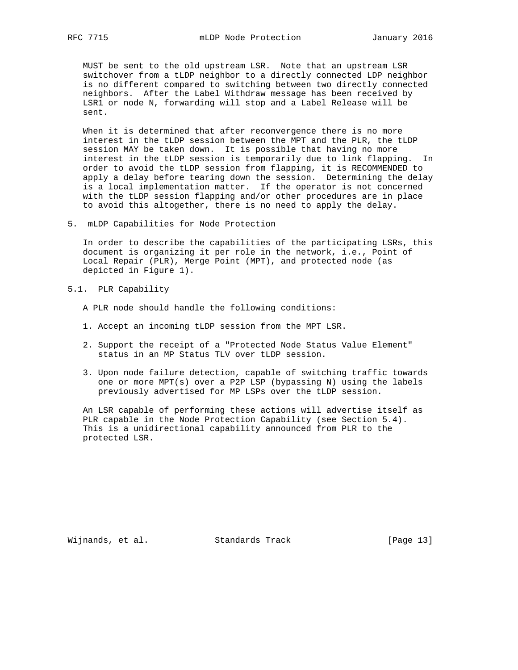MUST be sent to the old upstream LSR. Note that an upstream LSR switchover from a tLDP neighbor to a directly connected LDP neighbor is no different compared to switching between two directly connected neighbors. After the Label Withdraw message has been received by LSR1 or node N, forwarding will stop and a Label Release will be sent.

 When it is determined that after reconvergence there is no more interest in the tLDP session between the MPT and the PLR, the tLDP session MAY be taken down. It is possible that having no more interest in the tLDP session is temporarily due to link flapping. In order to avoid the tLDP session from flapping, it is RECOMMENDED to apply a delay before tearing down the session. Determining the delay is a local implementation matter. If the operator is not concerned with the tLDP session flapping and/or other procedures are in place to avoid this altogether, there is no need to apply the delay.

5. mLDP Capabilities for Node Protection

 In order to describe the capabilities of the participating LSRs, this document is organizing it per role in the network, i.e., Point of Local Repair (PLR), Merge Point (MPT), and protected node (as depicted in Figure 1).

5.1. PLR Capability

A PLR node should handle the following conditions:

- 1. Accept an incoming tLDP session from the MPT LSR.
- 2. Support the receipt of a "Protected Node Status Value Element" status in an MP Status TLV over tLDP session.
- 3. Upon node failure detection, capable of switching traffic towards one or more MPT(s) over a P2P LSP (bypassing N) using the labels previously advertised for MP LSPs over the tLDP session.

 An LSR capable of performing these actions will advertise itself as PLR capable in the Node Protection Capability (see Section 5.4). This is a unidirectional capability announced from PLR to the protected LSR.

Wijnands, et al. Standards Track [Page 13]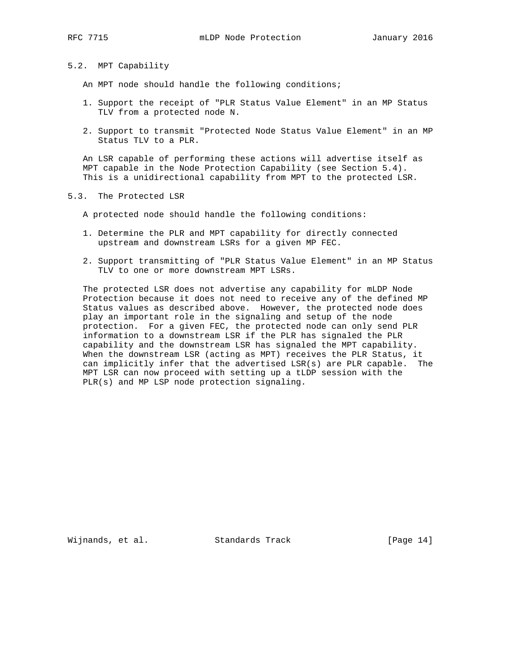# 5.2. MPT Capability

An MPT node should handle the following conditions;

- 1. Support the receipt of "PLR Status Value Element" in an MP Status TLV from a protected node N.
- 2. Support to transmit "Protected Node Status Value Element" in an MP Status TLV to a PLR.

 An LSR capable of performing these actions will advertise itself as MPT capable in the Node Protection Capability (see Section 5.4). This is a unidirectional capability from MPT to the protected LSR.

5.3. The Protected LSR

A protected node should handle the following conditions:

- 1. Determine the PLR and MPT capability for directly connected upstream and downstream LSRs for a given MP FEC.
- 2. Support transmitting of "PLR Status Value Element" in an MP Status TLV to one or more downstream MPT LSRs.

 The protected LSR does not advertise any capability for mLDP Node Protection because it does not need to receive any of the defined MP Status values as described above. However, the protected node does play an important role in the signaling and setup of the node protection. For a given FEC, the protected node can only send PLR information to a downstream LSR if the PLR has signaled the PLR capability and the downstream LSR has signaled the MPT capability. When the downstream LSR (acting as MPT) receives the PLR Status, it can implicitly infer that the advertised LSR(s) are PLR capable. The MPT LSR can now proceed with setting up a tLDP session with the PLR(s) and MP LSP node protection signaling.

Wijnands, et al. Standards Track [Page 14]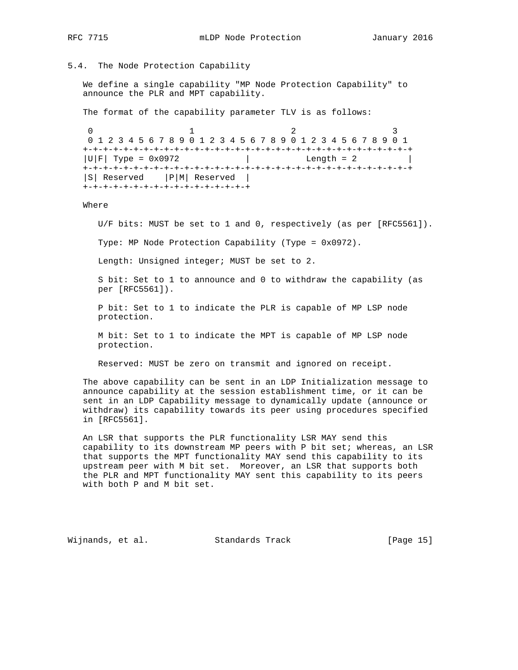# 5.4. The Node Protection Capability

 We define a single capability "MP Node Protection Capability" to announce the PLR and MPT capability.

The format of the capability parameter TLV is as follows:

0  $1$  2 3 0 1 2 3 4 5 6 7 8 9 0 1 2 3 4 5 6 7 8 9 0 1 2 3 4 5 6 7 8 9 0 1 +-+-+-+-+-+-+-+-+-+-+-+-+-+-+-+-+-+-+-+-+-+-+-+-+-+-+-+-+-+-+-+-+  $|U|F|$  Type = 0x0972  $|$  Length = 2 +-+-+-+-+-+-+-+-+-+-+-+-+-+-+-+-+-+-+-+-+-+-+-+-+-+-+-+-+-+-+-+-+ |S| Reserved |P|M| Reserved | +-+-+-+-+-+-+-+-+-+-+-+-+-+-+-+-+

Where

U/F bits: MUST be set to 1 and 0, respectively (as per [RFC5561]).

Type: MP Node Protection Capability (Type = 0x0972).

Length: Unsigned integer; MUST be set to 2.

 S bit: Set to 1 to announce and 0 to withdraw the capability (as per [RFC5561]).

 P bit: Set to 1 to indicate the PLR is capable of MP LSP node protection.

 M bit: Set to 1 to indicate the MPT is capable of MP LSP node protection.

Reserved: MUST be zero on transmit and ignored on receipt.

 The above capability can be sent in an LDP Initialization message to announce capability at the session establishment time, or it can be sent in an LDP Capability message to dynamically update (announce or withdraw) its capability towards its peer using procedures specified in [RFC5561].

 An LSR that supports the PLR functionality LSR MAY send this capability to its downstream MP peers with P bit set; whereas, an LSR that supports the MPT functionality MAY send this capability to its upstream peer with M bit set. Moreover, an LSR that supports both the PLR and MPT functionality MAY sent this capability to its peers with both P and M bit set.

Wijnands, et al. Standards Track [Page 15]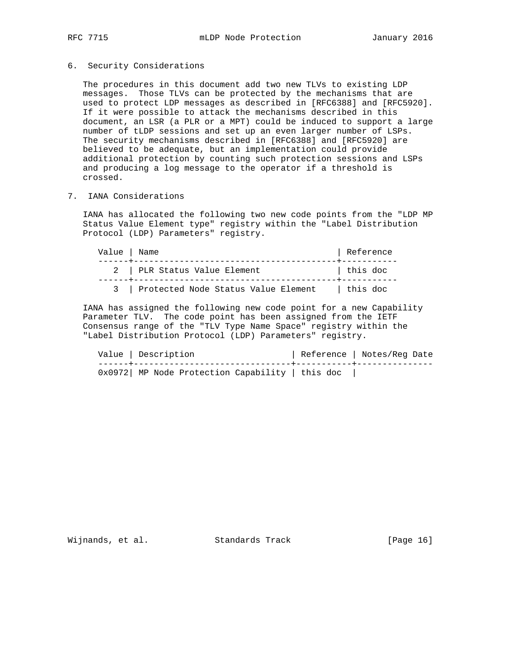#### 6. Security Considerations

 The procedures in this document add two new TLVs to existing LDP messages. Those TLVs can be protected by the mechanisms that are used to protect LDP messages as described in [RFC6388] and [RFC5920]. If it were possible to attack the mechanisms described in this document, an LSR (a PLR or a MPT) could be induced to support a large number of tLDP sessions and set up an even larger number of LSPs. The security mechanisms described in [RFC6388] and [RFC5920] are believed to be adequate, but an implementation could provide additional protection by counting such protection sessions and LSPs and producing a log message to the operator if a threshold is crossed.

# 7. IANA Considerations

 IANA has allocated the following two new code points from the "LDP MP Status Value Element type" registry within the "Label Distribution Protocol (LDP) Parameters" registry.

| Value   Name |                                         | Reference |
|--------------|-----------------------------------------|-----------|
|              | 2   PLR Status Value Element            | this doc  |
|              | 3   Protected Node Status Value Element | this doc  |

 IANA has assigned the following new code point for a new Capability Parameter TLV. The code point has been assigned from the IETF Consensus range of the "TLV Type Name Space" registry within the "Label Distribution Protocol (LDP) Parameters" registry.

| Value   Description                               | Reference   Notes/Reg Date |
|---------------------------------------------------|----------------------------|
| 0x0972   MP Node Protection Capability   this doc |                            |

Wijnands, et al. Standards Track [Page 16]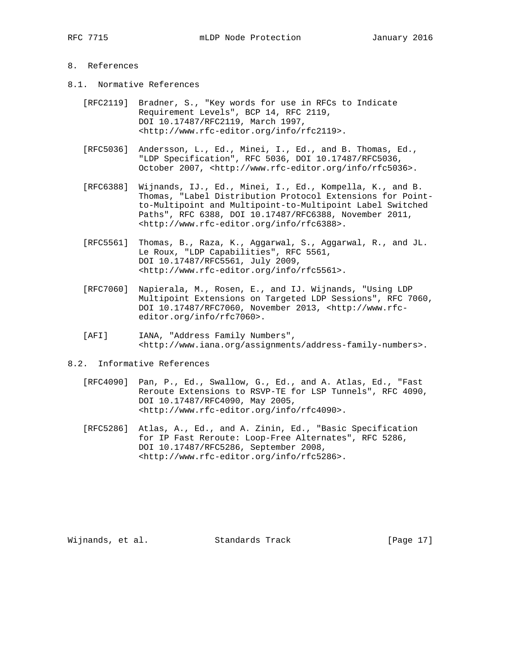# 8. References

- 8.1. Normative References
	- [RFC2119] Bradner, S., "Key words for use in RFCs to Indicate Requirement Levels", BCP 14, RFC 2119, DOI 10.17487/RFC2119, March 1997, <http://www.rfc-editor.org/info/rfc2119>.
	- [RFC5036] Andersson, L., Ed., Minei, I., Ed., and B. Thomas, Ed., "LDP Specification", RFC 5036, DOI 10.17487/RFC5036, October 2007, <http://www.rfc-editor.org/info/rfc5036>.
	- [RFC6388] Wijnands, IJ., Ed., Minei, I., Ed., Kompella, K., and B. Thomas, "Label Distribution Protocol Extensions for Point to-Multipoint and Multipoint-to-Multipoint Label Switched Paths", RFC 6388, DOI 10.17487/RFC6388, November 2011, <http://www.rfc-editor.org/info/rfc6388>.
	- [RFC5561] Thomas, B., Raza, K., Aggarwal, S., Aggarwal, R., and JL. Le Roux, "LDP Capabilities", RFC 5561, DOI 10.17487/RFC5561, July 2009, <http://www.rfc-editor.org/info/rfc5561>.
	- [RFC7060] Napierala, M., Rosen, E., and IJ. Wijnands, "Using LDP Multipoint Extensions on Targeted LDP Sessions", RFC 7060, DOI 10.17487/RFC7060, November 2013, <http://www.rfc editor.org/info/rfc7060>.
	- [AFI] IANA, "Address Family Numbers", <http://www.iana.org/assignments/address-family-numbers>.
- 8.2. Informative References
	- [RFC4090] Pan, P., Ed., Swallow, G., Ed., and A. Atlas, Ed., "Fast Reroute Extensions to RSVP-TE for LSP Tunnels", RFC 4090, DOI 10.17487/RFC4090, May 2005, <http://www.rfc-editor.org/info/rfc4090>.
	- [RFC5286] Atlas, A., Ed., and A. Zinin, Ed., "Basic Specification for IP Fast Reroute: Loop-Free Alternates", RFC 5286, DOI 10.17487/RFC5286, September 2008, <http://www.rfc-editor.org/info/rfc5286>.

Wijnands, et al. Standards Track [Page 17]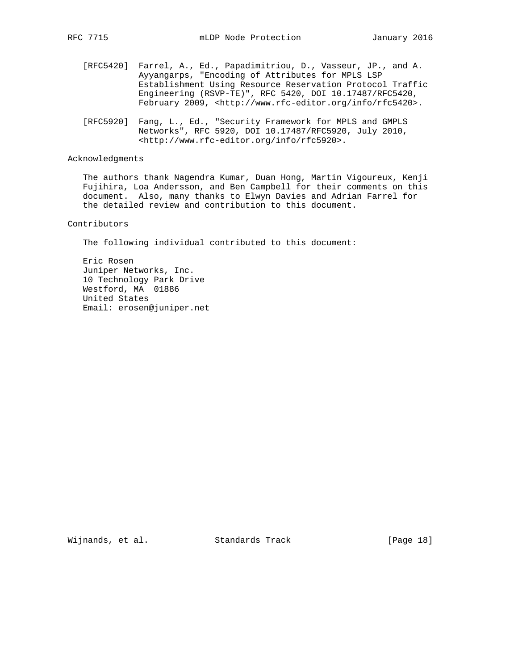- [RFC5420] Farrel, A., Ed., Papadimitriou, D., Vasseur, JP., and A. Ayyangarps, "Encoding of Attributes for MPLS LSP Establishment Using Resource Reservation Protocol Traffic Engineering (RSVP-TE)", RFC 5420, DOI 10.17487/RFC5420, February 2009, <http://www.rfc-editor.org/info/rfc5420>.
- [RFC5920] Fang, L., Ed., "Security Framework for MPLS and GMPLS Networks", RFC 5920, DOI 10.17487/RFC5920, July 2010, <http://www.rfc-editor.org/info/rfc5920>.

### Acknowledgments

 The authors thank Nagendra Kumar, Duan Hong, Martin Vigoureux, Kenji Fujihira, Loa Andersson, and Ben Campbell for their comments on this document. Also, many thanks to Elwyn Davies and Adrian Farrel for the detailed review and contribution to this document.

Contributors

The following individual contributed to this document:

 Eric Rosen Juniper Networks, Inc. 10 Technology Park Drive Westford, MA 01886 United States Email: erosen@juniper.net

Wijnands, et al. Standards Track [Page 18]